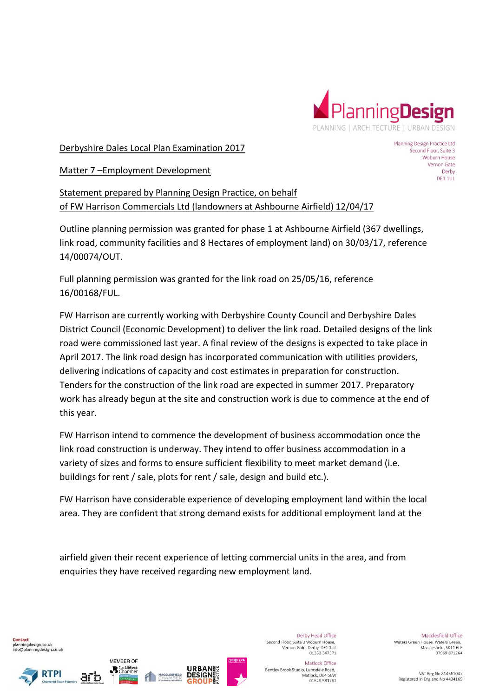

Derbyshire Dales Local Plan Examination 2017

Planning Design Practice Ltd Second Floor, Suite 3 Woburn House Vernon Gate Derby DE1 1UL

Matter 7 –Employment Development

Statement prepared by Planning Design Practice, on behalf of FW Harrison Commercials Ltd (landowners at Ashbourne Airfield) 12/04/17

Outline planning permission was granted for phase 1 at Ashbourne Airfield (367 dwellings, link road, community facilities and 8 Hectares of employment land) on 30/03/17, reference 14/00074/OUT.

Full planning permission was granted for the link road on 25/05/16, reference 16/00168/FUL.

FW Harrison are currently working with Derbyshire County Council and Derbyshire Dales District Council (Economic Development) to deliver the link road. Detailed designs of the link road were commissioned last year. A final review of the designs is expected to take place in April 2017. The link road design has incorporated communication with utilities providers, delivering indications of capacity and cost estimates in preparation for construction. Tenders for the construction of the link road are expected in summer 2017. Preparatory work has already begun at the site and construction work is due to commence at the end of this year.

FW Harrison intend to commence the development of business accommodation once the link road construction is underway. They intend to offer business accommodation in a variety of sizes and forms to ensure sufficient flexibility to meet market demand (i.e. buildings for rent / sale, plots for rent / sale, design and build etc.).

FW Harrison have considerable experience of developing employment land within the local area. They are confident that strong demand exists for additional employment land at the

airfield given their recent experience of letting commercial units in the area, and from enquiries they have received regarding new employment land.

Contact planningdesign.co.uk info@planningdesign.co.uk





MEMBER OF

**B** East Midlands



Derby Head Office Second Floor, Suite 3 Woburn House. Vernon Gate, Derby, DE1 1UL<br>01332 347371

Matlock Office Bentley Brook Studio, Lumsdale Road, Matlock, DE4 5EW 01629 581761

Macclesfield Office Waters Green House, Waters Green. Macclesfield, SK11 6LF 07969 871264

VAT Reg No 814561047 Registered in England No 4434169